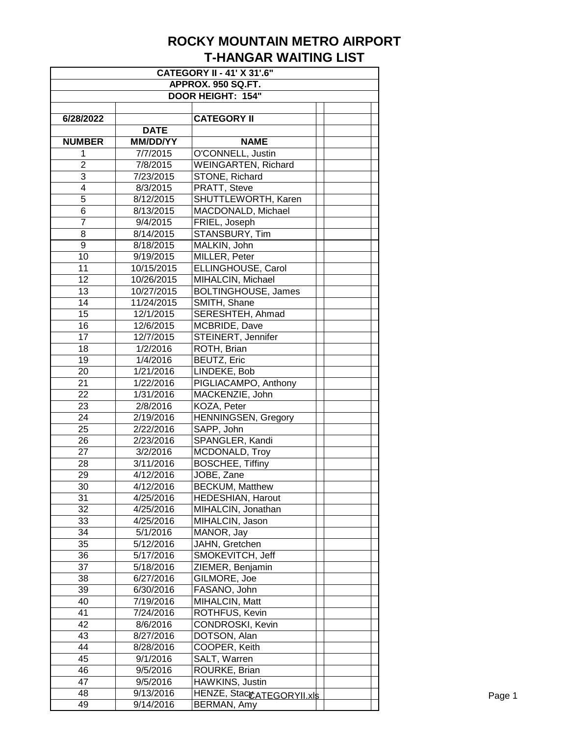| <b>CATEGORY II - 41' X 31'.6"</b> |                 |                            |  |  |  |
|-----------------------------------|-----------------|----------------------------|--|--|--|
| APPROX. 950 SQ.FT.                |                 |                            |  |  |  |
| <b>DOOR HEIGHT: 154"</b>          |                 |                            |  |  |  |
|                                   |                 |                            |  |  |  |
| 6/28/2022                         |                 | <b>CATEGORY II</b>         |  |  |  |
|                                   | <b>DATE</b>     |                            |  |  |  |
| <b>NUMBER</b>                     | <b>MM/DD/YY</b> | <b>NAME</b>                |  |  |  |
| 1                                 | 7/7/2015        | O'CONNELL, Justin          |  |  |  |
| $\overline{2}$                    | 7/8/2015        | <b>WEINGARTEN, Richard</b> |  |  |  |
| 3                                 | 7/23/2015       | STONE, Richard             |  |  |  |
| 4                                 | 8/3/2015        | PRATT, Steve               |  |  |  |
| 5                                 | 8/12/2015       | SHUTTLEWORTH, Karen        |  |  |  |
| 6                                 | 8/13/2015       | MACDONALD, Michael         |  |  |  |
| $\overline{7}$                    | 9/4/2015        | FRIEL, Joseph              |  |  |  |
| 8                                 | 8/14/2015       | STANSBURY, Tim             |  |  |  |
| $\overline{9}$                    | 8/18/2015       | MALKIN, John               |  |  |  |
| 10                                | 9/19/2015       | MILLER, Peter              |  |  |  |
| 11                                | 10/15/2015      | ELLINGHOUSE, Carol         |  |  |  |
| 12                                | 10/26/2015      | MIHALCIN, Michael          |  |  |  |
| 13                                | 10/27/2015      | <b>BOLTINGHOUSE, James</b> |  |  |  |
| 14                                | 11/24/2015      | SMITH, Shane               |  |  |  |
| 15                                | 12/1/2015       | SERESHTEH, Ahmad           |  |  |  |
| 16                                | 12/6/2015       | MCBRIDE, Dave              |  |  |  |
| 17                                | 12/7/2015       | STEINERT, Jennifer         |  |  |  |
| 18                                | 1/2/2016        | ROTH, Brian                |  |  |  |
| 19                                | 1/4/2016        | BEUTZ, Eric                |  |  |  |
| 20                                | 1/21/2016       | LINDEKE, Bob               |  |  |  |
| 21                                | 1/22/2016       | PIGLIACAMPO, Anthony       |  |  |  |
| 22                                | 1/31/2016       | MACKENZIE, John            |  |  |  |
| 23                                | 2/8/2016        | KOZA, Peter                |  |  |  |
| 24                                | 2/19/2016       | <b>HENNINGSEN, Gregory</b> |  |  |  |
| 25                                | 2/22/2016       | SAPP, John                 |  |  |  |
| 26                                | 2/23/2016       | SPANGLER, Kandi            |  |  |  |
| 27                                | 3/2/2016        | MCDONALD, Troy             |  |  |  |
| 28                                | 3/11/2016       | <b>BOSCHEE, Tiffiny</b>    |  |  |  |
| 29                                | 4/12/2016       | JOBE, Zane                 |  |  |  |
| 30                                | 4/12/2016       | <b>BECKUM, Matthew</b>     |  |  |  |
| 31                                | 4/25/2016       | HEDESHIAN, Harout          |  |  |  |
| 32                                |                 |                            |  |  |  |
|                                   | 4/25/2016       | MIHALCIN, Jonathan         |  |  |  |
| 33                                | 4/25/2016       | MIHALCIN, Jason            |  |  |  |
| 34                                | 5/1/2016        | MANOR, Jay                 |  |  |  |
| 35                                | 5/12/2016       | JAHN, Gretchen             |  |  |  |
| 36                                | 5/17/2016       | SMOKEVITCH, Jeff           |  |  |  |
| 37                                | 5/18/2016       | ZIEMER, Benjamin           |  |  |  |
| 38                                | 6/27/2016       | GILMORE, Joe               |  |  |  |
| 39                                | 6/30/2016       | FASANO, John               |  |  |  |
| 40                                | 7/19/2016       | MIHALCIN, Matt             |  |  |  |
| 41                                | 7/24/2016       | ROTHFUS, Kevin             |  |  |  |
| 42                                | 8/6/2016        | CONDROSKI, Kevin           |  |  |  |
| 43                                | 8/27/2016       | DOTSON, Alan               |  |  |  |
| 44                                | 8/28/2016       | COOPER, Keith              |  |  |  |
| 45                                | 9/1/2016        | SALT, Warren               |  |  |  |
| 46                                | 9/5/2016        | ROURKE, Brian              |  |  |  |
| 47                                | 9/5/2016        | HAWKINS, Justin            |  |  |  |
| 48                                | 9/13/2016       | HENZE, StacCATEGORYII.xls  |  |  |  |
| 49                                | 9/14/2016       | BERMAN, Amy                |  |  |  |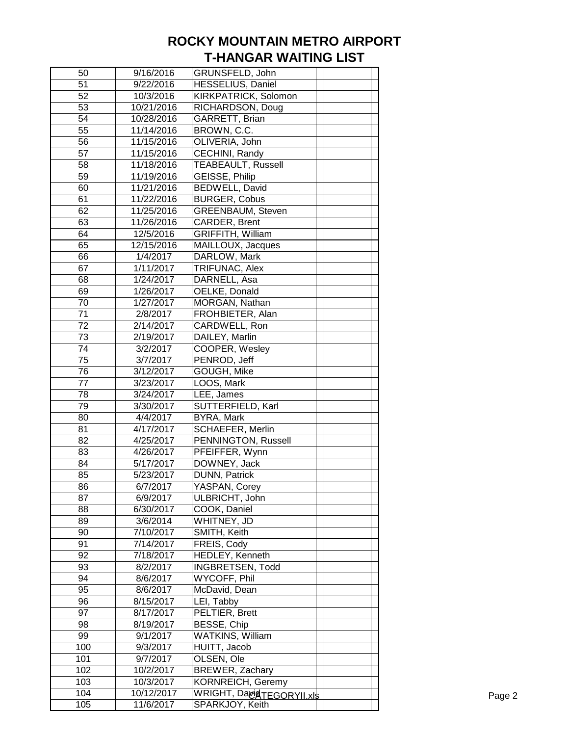| 50  | 9/16/2016  | GRUNSFELD, John                   |  |
|-----|------------|-----------------------------------|--|
| 51  | 9/22/2016  | HESSELIUS, Daniel                 |  |
| 52  | 10/3/2016  | KIRKPATRICK, Solomon              |  |
| 53  | 10/21/2016 | RICHARDSON, Doug                  |  |
| 54  | 10/28/2016 | GARRETT, Brian                    |  |
| 55  | 11/14/2016 | BROWN, C.C.                       |  |
| 56  | 11/15/2016 | OLIVERIA, John                    |  |
| 57  | 11/15/2016 | CECHINI, Randy                    |  |
| 58  | 11/18/2016 | <b>TEABEAULT, Russell</b>         |  |
| 59  | 11/19/2016 | <b>GEISSE, Philip</b>             |  |
| 60  | 11/21/2016 | <b>BEDWELL, David</b>             |  |
| 61  | 11/22/2016 | <b>BURGER, Cobus</b>              |  |
| 62  | 11/25/2016 | <b>GREENBAUM, Steven</b>          |  |
| 63  | 11/26/2016 | CARDER, Brent                     |  |
| 64  | 12/5/2016  | <b>GRIFFITH, William</b>          |  |
| 65  | 12/15/2016 | MAILLOUX, Jacques                 |  |
| 66  | 1/4/2017   | DARLOW, Mark                      |  |
| 67  | 1/11/2017  | TRIFUNAC, Alex                    |  |
| 68  | 1/24/2017  | DARNELL, Asa                      |  |
| 69  | 1/26/2017  | OELKE, Donald                     |  |
| 70  | 1/27/2017  | MORGAN, Nathan                    |  |
| 71  | 2/8/2017   | FROHBIETER, Alan                  |  |
| 72  | 2/14/2017  | CARDWELL, Ron                     |  |
| 73  | 2/19/2017  | DAILEY, Marlin                    |  |
| 74  | 3/2/2017   | COOPER, Wesley                    |  |
| 75  | 3/7/2017   | PENROD, Jeff                      |  |
| 76  | 3/12/2017  | GOUGH, Mike                       |  |
| 77  | 3/23/2017  | LOOS, Mark                        |  |
| 78  | 3/24/2017  | LEE, James                        |  |
| 79  | 3/30/2017  | SUTTERFIELD, Karl                 |  |
| 80  | 4/4/2017   | BYRA, Mark                        |  |
| 81  | 4/17/2017  | SCHAEFER, Merlin                  |  |
| 82  | 4/25/2017  | PENNINGTON, Russell               |  |
| 83  | 4/26/2017  | PFEIFFER, Wynn                    |  |
| 84  | 5/17/2017  | DOWNEY, Jack                      |  |
| 85  | 5/23/2017  | DUNN, Patrick                     |  |
| 86  | 6/7/2017   | YASPAN, Corey                     |  |
| 87  | 6/9/2017   | ULBRICHT, John                    |  |
| 88  | 6/30/2017  | COOK, Daniel                      |  |
| 89  | 3/6/2014   | WHITNEY, JD                       |  |
| 90  | 7/10/2017  | SMITH, Keith                      |  |
| 91  | 7/14/2017  | FREIS, Cody                       |  |
| 92  | 7/18/2017  | HEDLEY, Kenneth                   |  |
| 93  | 8/2/2017   | <b>INGBRETSEN, Todd</b>           |  |
| 94  | 8/6/2017   | WYCOFF, Phil                      |  |
| 95  | 8/6/2017   | McDavid, Dean                     |  |
| 96  | 8/15/2017  | LEI, Tabby                        |  |
| 97  | 8/17/2017  | PELTIER, Brett                    |  |
| 98  | 8/19/2017  | BESSE, Chip                       |  |
| 99  | 9/1/2017   | WATKINS, William                  |  |
| 100 | 9/3/2017   | HUITT, Jacob                      |  |
| 101 | 9/7/2017   | OLSEN, Ole                        |  |
| 102 | 10/2/2017  | BREWER, Zachary                   |  |
| 103 | 10/3/2017  | KORNREICH, Geremy                 |  |
| 104 | 10/12/2017 | WRIGHT, DagidT <u>EGORYII.xls</u> |  |
| 105 | 11/6/2017  | SPARKJOY, Keith                   |  |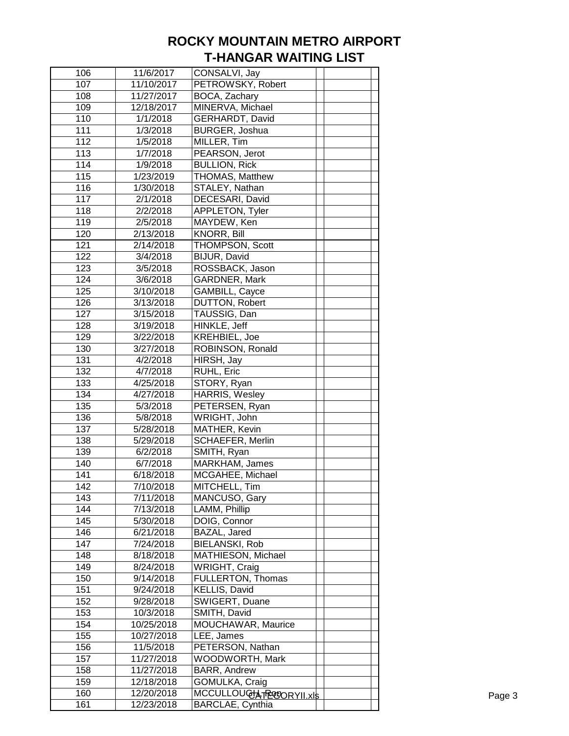| 106 | 11/6/2017  | CONSALVI, Jay           |  |  |
|-----|------------|-------------------------|--|--|
| 107 | 11/10/2017 | PETROWSKY, Robert       |  |  |
| 108 | 11/27/2017 | BOCA, Zachary           |  |  |
| 109 | 12/18/2017 | MINERVA, Michael        |  |  |
| 110 | 1/1/2018   | GERHARDT, David         |  |  |
| 111 | 1/3/2018   | <b>BURGER, Joshua</b>   |  |  |
| 112 | 1/5/2018   | MILLER, Tim             |  |  |
| 113 | 1/7/2018   | PEARSON, Jerot          |  |  |
| 114 | 1/9/2018   | <b>BULLION, Rick</b>    |  |  |
| 115 | 1/23/2019  | THOMAS, Matthew         |  |  |
| 116 | 1/30/2018  | STALEY, Nathan          |  |  |
| 117 | 2/1/2018   | DECESARI, David         |  |  |
| 118 | 2/2/2018   | APPLETON, Tyler         |  |  |
| 119 | 2/5/2018   | MAYDEW, Ken             |  |  |
| 120 | 2/13/2018  | KNORR, Bill             |  |  |
| 121 | 2/14/2018  | THOMPSON, Scott         |  |  |
| 122 | 3/4/2018   | BIJUR, David            |  |  |
| 123 | 3/5/2018   | ROSSBACK, Jason         |  |  |
| 124 | 3/6/2018   | GARDNER, Mark           |  |  |
| 125 | 3/10/2018  | GAMBILL, Cayce          |  |  |
| 126 | 3/13/2018  | <b>DUTTON, Robert</b>   |  |  |
| 127 | 3/15/2018  | TAUSSIG, Dan            |  |  |
| 128 | 3/19/2018  | HINKLE, Jeff            |  |  |
| 129 | 3/22/2018  | KREHBIEL, Joe           |  |  |
| 130 | 3/27/2018  | ROBINSON, Ronald        |  |  |
| 131 | 4/2/2018   | HIRSH, Jay              |  |  |
| 132 | 4/7/2018   | RUHL, Eric              |  |  |
| 133 | 4/25/2018  | STORY, Ryan             |  |  |
| 134 | 4/27/2018  | HARRIS, Wesley          |  |  |
| 135 | 5/3/2018   | PETERSEN, Ryan          |  |  |
| 136 | 5/8/2018   | WRIGHT, John            |  |  |
| 137 | 5/28/2018  | MATHER, Kevin           |  |  |
| 138 | 5/29/2018  | <b>SCHAEFER, Merlin</b> |  |  |
| 139 | 6/2/2018   | SMITH, Ryan             |  |  |
| 140 | 6/7/2018   | MARKHAM, James          |  |  |
| 141 | 6/18/2018  | MCGAHEE, Michael        |  |  |
| 142 | 7/10/2018  | MITCHELL, Tim           |  |  |
| 143 | 7/11/2018  | MANCUSO, Gary           |  |  |
| 144 | 7/13/2018  | LAMM, Phillip           |  |  |
| 145 | 5/30/2018  | DOIG, Connor            |  |  |
| 146 | 6/21/2018  | BAZAL, Jared            |  |  |
| 147 | 7/24/2018  | <b>BIELANSKI, Rob</b>   |  |  |
| 148 | 8/18/2018  | MATHIESON, Michael      |  |  |
| 149 | 8/24/2018  | <b>WRIGHT, Craig</b>    |  |  |
| 150 | 9/14/2018  | FULLERTON, Thomas       |  |  |
| 151 | 9/24/2018  | KELLIS, David           |  |  |
| 152 | 9/28/2018  | SWIGERT, Duane          |  |  |
| 153 | 10/3/2018  | SMITH, David            |  |  |
| 154 | 10/25/2018 | MOUCHAWAR, Maurice      |  |  |
| 155 | 10/27/2018 | LEE, James              |  |  |
| 156 | 11/5/2018  | PETERSON, Nathan        |  |  |
| 157 | 11/27/2018 | <b>WOODWORTH, Mark</b>  |  |  |
| 158 | 11/27/2018 | BARR, Andrew            |  |  |
| 159 | 12/18/2018 | GOMULKA, Craig          |  |  |
| 160 | 12/20/2018 | MCCULLOUGH TROORYII.xls |  |  |
| 161 | 12/23/2018 | BARCLAE, Cynthia        |  |  |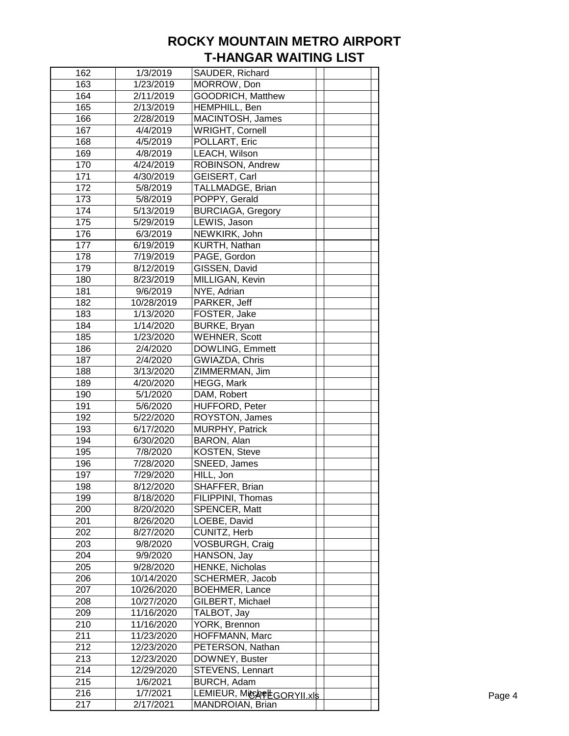| 162        | 1/3/2019                 | SAUDER, Richard                         |  |
|------------|--------------------------|-----------------------------------------|--|
| 163        | 1/23/2019                | MORROW, Don                             |  |
| 164        | 2/11/2019                | <b>GOODRICH, Matthew</b>                |  |
| 165        | 2/13/2019                | HEMPHILL, Ben                           |  |
| 166        | 2/28/2019                | MACINTOSH, James                        |  |
| 167        | 4/4/2019                 | <b>WRIGHT, Cornell</b>                  |  |
| 168        | 4/5/2019                 | POLLART, Eric                           |  |
| 169        | 4/8/2019                 | LEACH, Wilson                           |  |
| 170        | 4/24/2019                | ROBINSON, Andrew                        |  |
| 171        | 4/30/2019                | GEISERT, Carl                           |  |
| 172        | 5/8/2019                 | TALLMADGE, Brian                        |  |
| 173        | 5/8/2019                 | POPPY, Gerald                           |  |
| 174        | 5/13/2019                | <b>BURCIAGA, Gregory</b>                |  |
| 175        | 5/29/2019                | LEWIS, Jason                            |  |
| 176        | 6/3/2019                 | NEWKIRK, John                           |  |
| 177        | 6/19/2019                | KURTH, Nathan                           |  |
| 178        | 7/19/2019                | PAGE, Gordon                            |  |
| 179        | 8/12/2019                | GISSEN, David                           |  |
| 180        | 8/23/2019                | MILLIGAN, Kevin                         |  |
| 181        | 9/6/2019                 | NYE, Adrian                             |  |
| 182        | 10/28/2019               | PARKER, Jeff                            |  |
| 183        |                          |                                         |  |
|            | 1/13/2020                | FOSTER, Jake                            |  |
| 184<br>185 | 1/14/2020                | BURKE, Bryan                            |  |
| 186        | 1/23/2020<br>2/4/2020    | <b>WEHNER, Scott</b><br>DOWLING, Emmett |  |
| 187        |                          | GWIAZDA, Chris                          |  |
|            | 2/4/2020                 |                                         |  |
| 188<br>189 | 3/13/2020                | ZIMMERMAN, Jim                          |  |
| 190        | 4/20/2020                | HEGG, Mark<br>DAM, Robert               |  |
| 191        | 5/1/2020<br>5/6/2020     | HUFFORD, Peter                          |  |
| 192        | 5/22/2020                | ROYSTON, James                          |  |
| 193        | 6/17/2020                | MURPHY, Patrick                         |  |
| 194        | 6/30/2020                | BARON, Alan                             |  |
| 195        | 7/8/2020                 | KOSTEN, Steve                           |  |
| 196        | 7/28/2020                | SNEED, James                            |  |
| 197        | 7/29/2020                | HILL, Jon                               |  |
| 198        | 8/12/2020                | SHAFFER, Brian                          |  |
| 199        |                          |                                         |  |
| 200        | 8/18/2020                | FILIPPINI, Thomas<br>SPENCER, Matt      |  |
| 201        | 8/20/2020                |                                         |  |
| 202        | 8/26/2020<br>8/27/2020   | LOEBE, David<br>CUNITZ, Herb            |  |
| 203        | 9/8/2020                 | VOSBURGH, Craig                         |  |
| 204        |                          | HANSON, Jay                             |  |
| 205        | 9/9/2020<br>9/28/2020    | HENKE, Nicholas                         |  |
|            |                          |                                         |  |
| 206        | 10/14/2020               | SCHERMER, Jacob                         |  |
| 207        | 10/26/2020               | <b>BOEHMER, Lance</b>                   |  |
| 208        | 10/27/2020               | GILBERT, Michael                        |  |
| 209        | 11/16/2020               | TALBOT, Jay<br>YORK, Brennon            |  |
| 210        | 11/16/2020               |                                         |  |
| 211        | 11/23/2020               | HOFFMANN, Marc                          |  |
| 212<br>213 | 12/23/2020<br>12/23/2020 | PETERSON, Nathan<br>DOWNEY, Buster      |  |
| 214        | 12/29/2020               | STEVENS, Lennart                        |  |
|            |                          |                                         |  |
| 215<br>216 | 1/6/2021<br>1/7/2021     | BURCH, Adam                             |  |
| 217        |                          | LEMIEUR, MICAPEGORYII.xls               |  |
|            | 2/17/2021                | MANDROIAN, Brian                        |  |